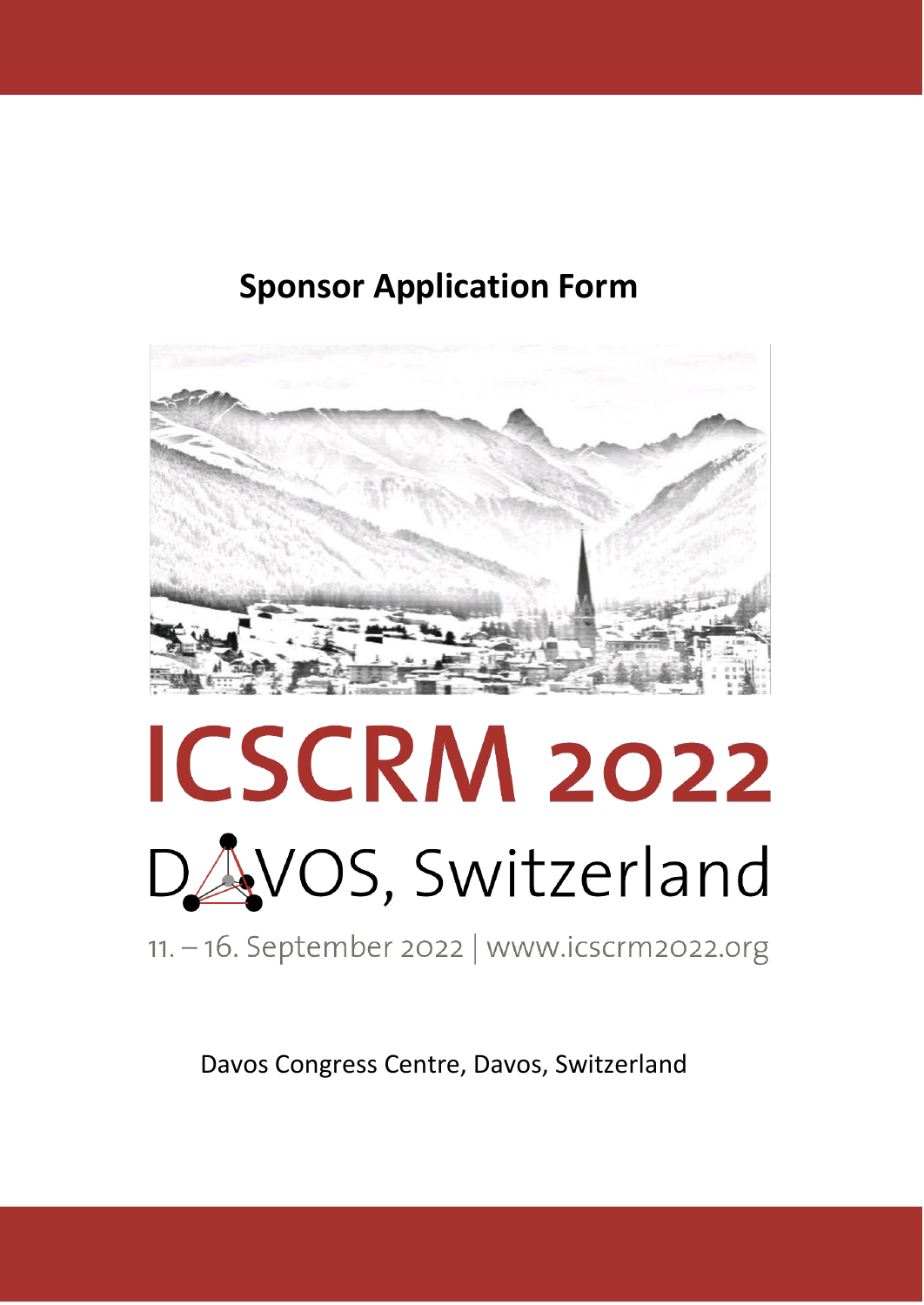## **Sponsor Application Form**



# **ICSCRM 2022** DAVOS, Switzerland

11. - 16. September 2022 | www.icscrm2022.org

Davos Congress Centre, Davos, Switzerland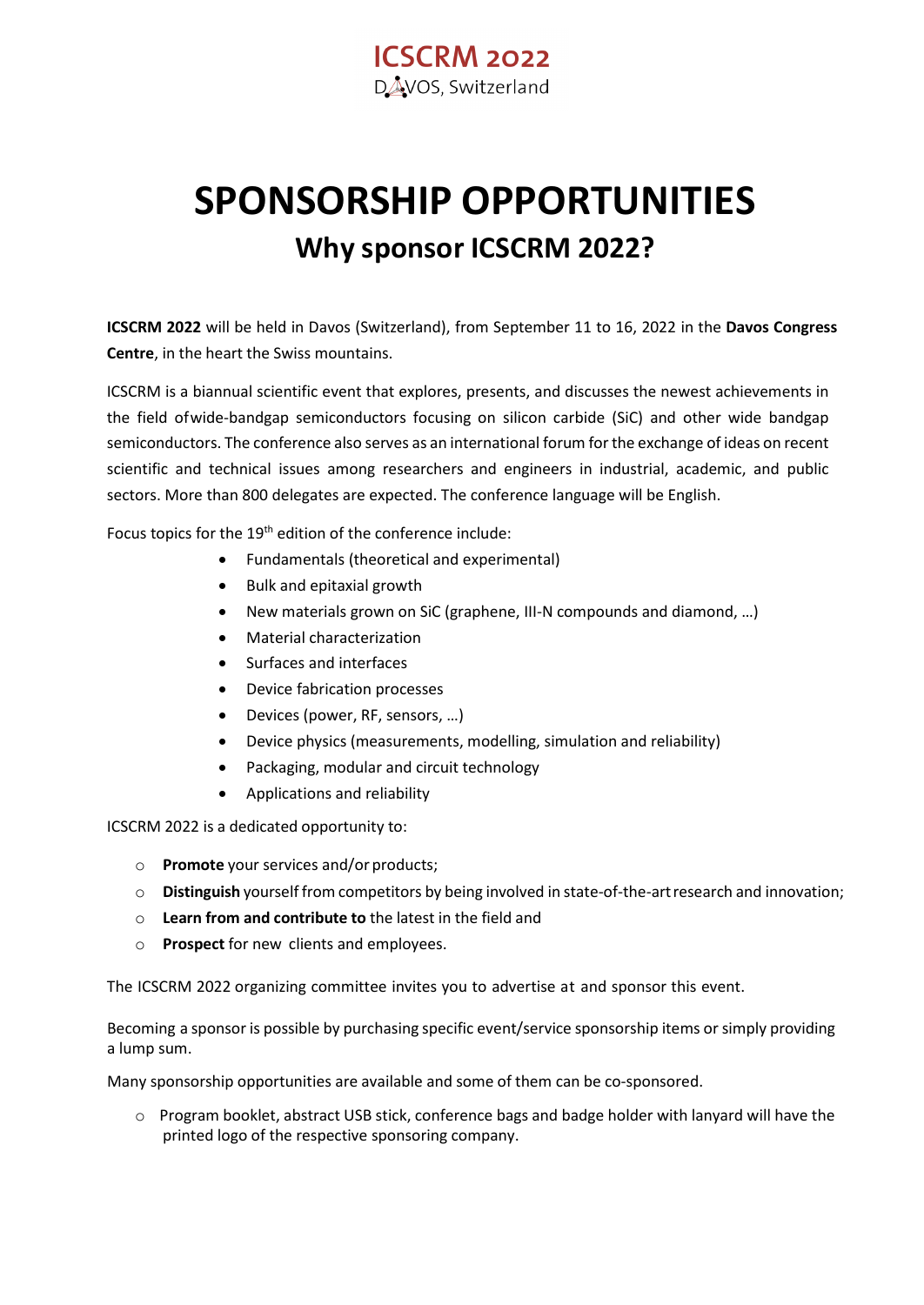

# **SPONSORSHIP OPPORTUNITIES Why sponsor ICSCRM 2022?**

**ICSCRM 2022** will be held in Davos (Switzerland), from September 11 to 16, 2022 in the **Davos Congress Centre**, in the heart the Swiss mountains.

ICSCRM is a biannual scientific event that explores, presents, and discusses the newest achievements in the field ofwide-bandgap semiconductors focusing on silicon carbide (SiC) and other wide bandgap semiconductors. The conference also serves as an international forum for the exchange of ideas on recent scientific and technical issues among researchers and engineers in industrial, academic, and public sectors. More than 800 delegates are expected. The conference language will be English.

Focus topics for the 19<sup>th</sup> edition of the conference include:

- Fundamentals (theoretical and experimental)
- Bulk and epitaxial growth
- New materials grown on SiC (graphene, III-N compounds and diamond, …)
- Material characterization
- Surfaces and interfaces
- Device fabrication processes
- Devices (power, RF, sensors, …)
- Device physics (measurements, modelling, simulation and reliability)
- Packaging, modular and circuit technology
- Applications and reliability

ICSCRM 2022 is a dedicated opportunity to:

- o **Promote** your services and/or products;
- o **Distinguish** yourself from competitors by being involved in state-of-the-artresearch and innovation;
- o **Learn from and contribute to** the latest in the field and
- o **Prospect** for new clients and employees.

The ICSCRM 2022 organizing committee invites you to advertise at and sponsor this event.

Becoming a sponsor is possible by purchasing specific event/service sponsorship items or simply providing a lump sum.

Many sponsorship opportunities are available and some of them can be co-sponsored.

 $\circ$  Program booklet, abstract USB stick, conference bags and badge holder with lanyard will have the printed logo of the respective sponsoring company.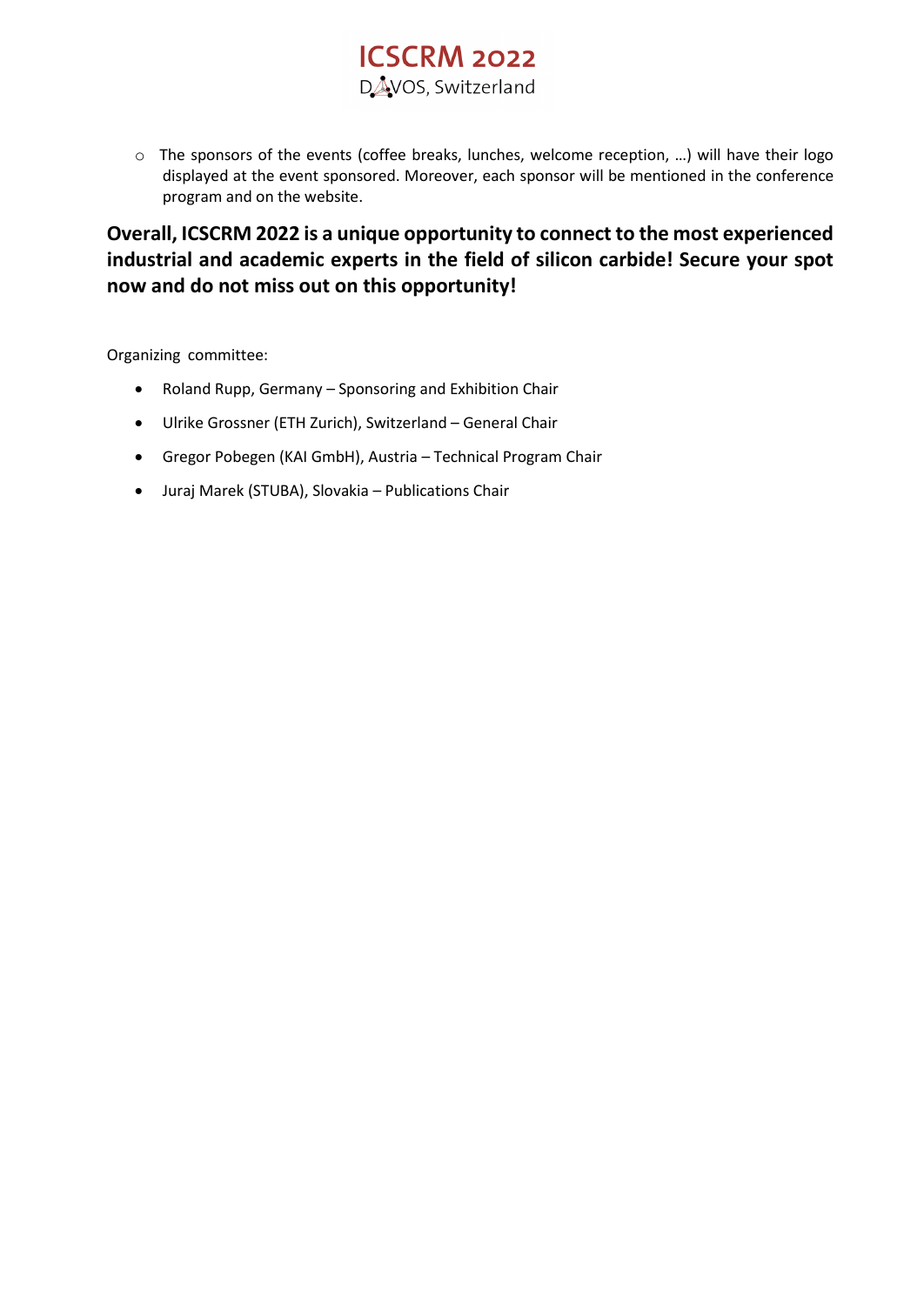

 $\circ$  The sponsors of the events (coffee breaks, lunches, welcome reception, ...) will have their logo displayed at the event sponsored. Moreover, each sponsor will be mentioned in the conference program and on the website.

#### **Overall, ICSCRM 2022 is a unique opportunity to connect to the most experienced industrial and academic experts in the field of silicon carbide! Secure your spot now and do not miss out on this opportunity!**

Organizing committee:

- Roland Rupp, Germany Sponsoring and Exhibition Chair
- Ulrike Grossner (ETH Zurich), Switzerland General Chair
- Gregor Pobegen (KAI GmbH), Austria Technical Program Chair
- Juraj Marek (STUBA), Slovakia Publications Chair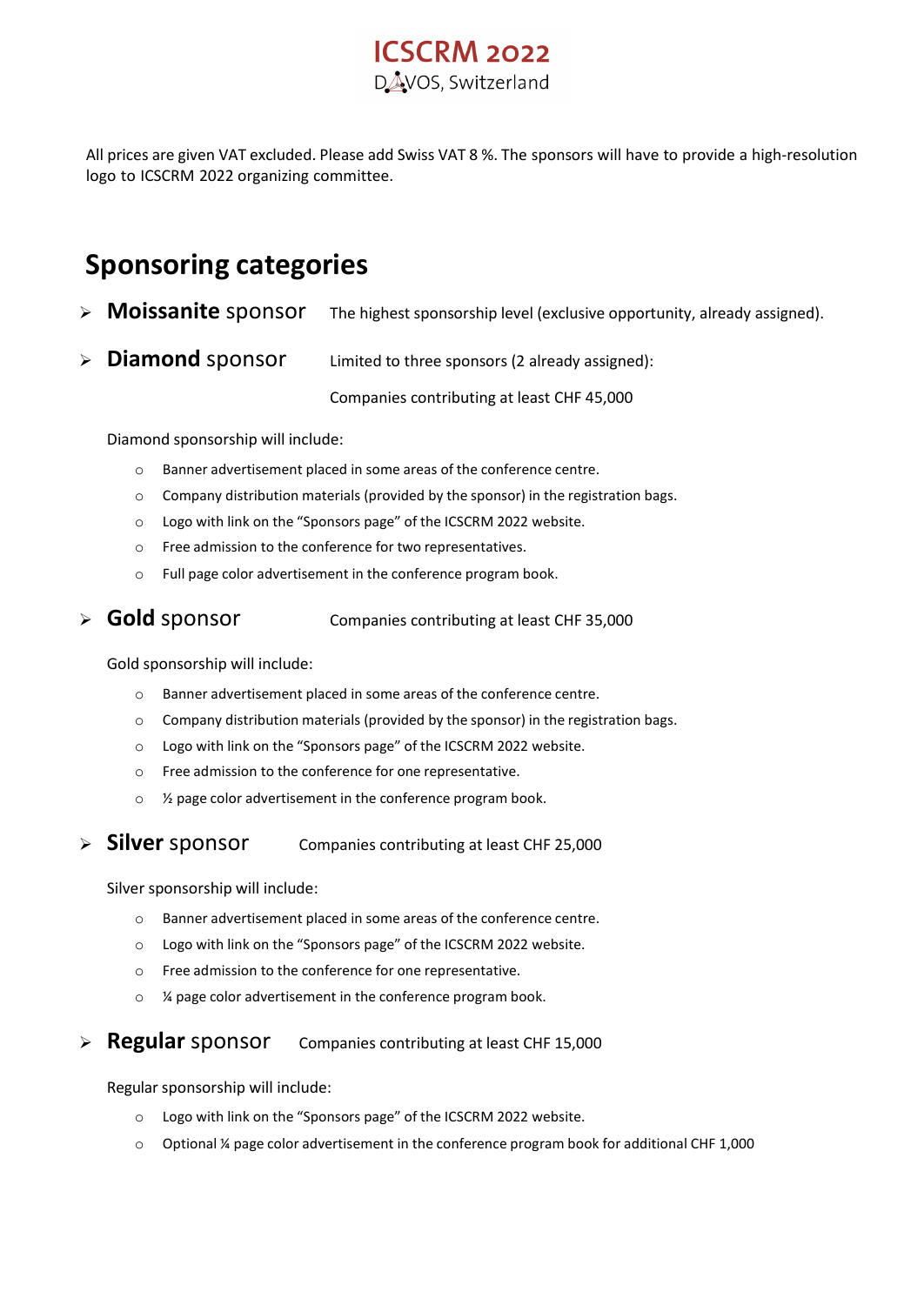

All prices are given VAT excluded. Please add Swiss VAT 8 %. The sponsors will have to provide a high-resolution logo to ICSCRM 2022 organizing committee.

## **Sponsoring categories**

- **Moissanite** sponsor The highest sponsorship level (exclusive opportunity, already assigned).
- **Diamond sponsor** Limited to three sponsors (2 already assigned):

Companies contributing at least CHF 45,000

Diamond sponsorship will include:

- o Banner advertisement placed in some areas of the conference centre.
- $\circ$  Company distribution materials (provided by the sponsor) in the registration bags.
- o Logo with link on the "Sponsors page" of the ICSCRM 2022 website.
- o Free admission to the conference for two representatives.
- o Full page color advertisement in the conference program book.
- 

**Gold** sponsor Companies contributing at least CHF 35,000

Gold sponsorship will include:

- o Banner advertisement placed in some areas of the conference centre.
- o Company distribution materials (provided by the sponsor) in the registration bags.
- o Logo with link on the "Sponsors page" of the ICSCRM 2022 website.
- o Free admission to the conference for one representative.
- $\circ$  % page color advertisement in the conference program book.
- **Silver** sponsor Companies contributing at least CHF 25,000

Silver sponsorship will include:

- o Banner advertisement placed in some areas of the conference centre.
- o Logo with link on the "Sponsors page" of the ICSCRM 2022 website.
- o Free admission to the conference for one representative.
- $\circ$  % page color advertisement in the conference program book.

#### **Regular** sponsor Companies contributing at least CHF 15,000

Regular sponsorship will include:

- o Logo with link on the "Sponsors page" of the ICSCRM 2022 website.
- $\circ$  Optional ¼ page color advertisement in the conference program book for additional CHF 1,000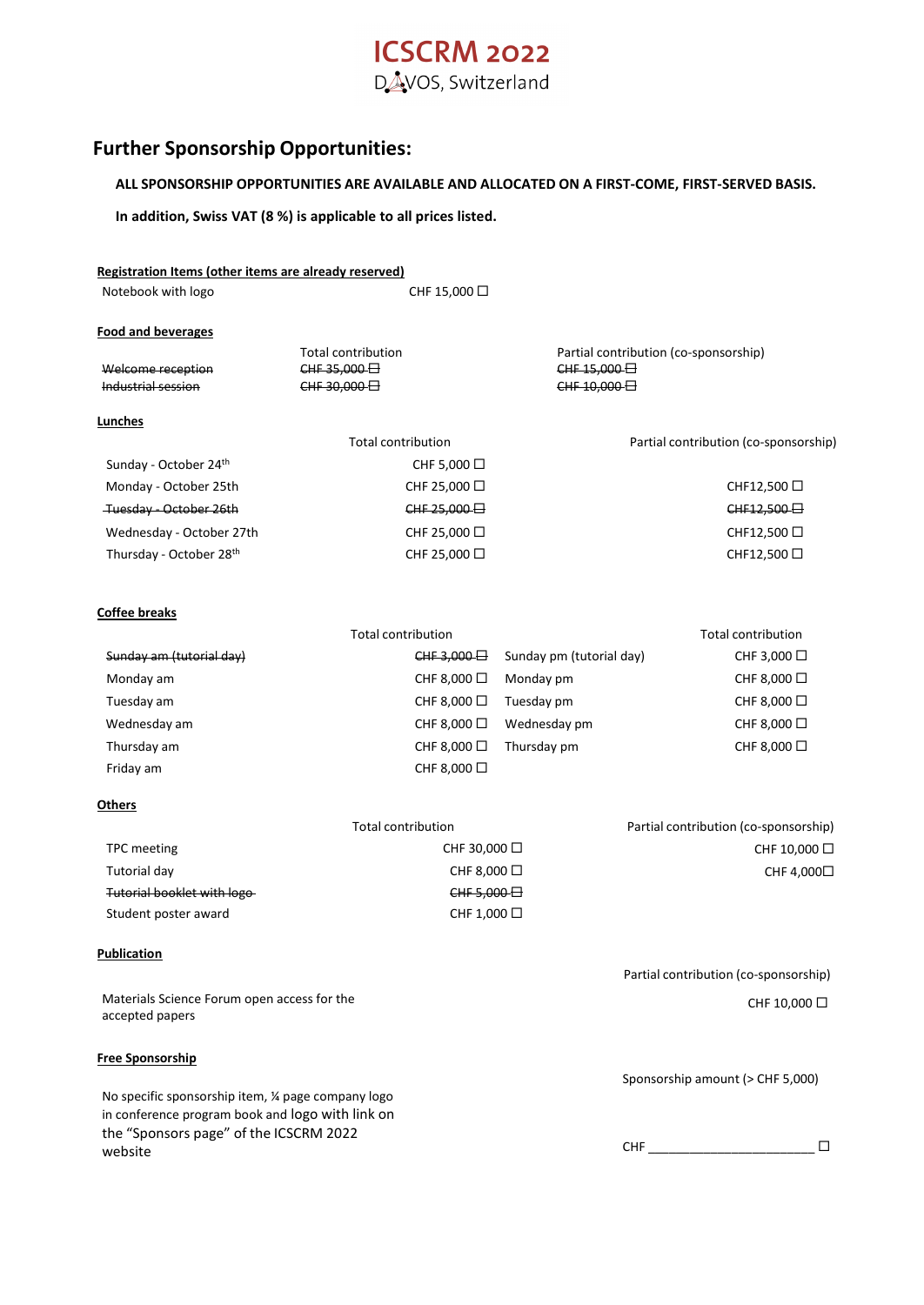

#### **Further Sponsorship Opportunities:**

#### **ALL SPONSORSHIP OPPORTUNITIES ARE AVAILABLE AND ALLOCATED ON A FIRST-COME, FIRST-SERVED BASIS.**

#### **In addition, Swiss VAT (8 %) is applicable to all prices listed.**

#### **Registration Items (other items are already reserved)**

Notebook with logo  $CHF 15,000 \Box$ 

#### **Food and beverages**

| Total contribution     | Partial contribution (co-sponsorship) |
|------------------------|---------------------------------------|
| $CHF 35.000 \square$   | <del>CHF 15.000 ⊡</del>               |
| CHF 30,000 $\boxminus$ | CHF 10.000 ⊟                          |
|                        |                                       |

#### **Lunches**

|                          | <b>Total contribution</b> | Partial contribution (co-sponsorship) |
|--------------------------|---------------------------|---------------------------------------|
| Sunday - October 24th    | CHF 5,000 □               |                                       |
| Monday - October 25th    | CHF 25,000 □              | CHF12,500 □                           |
| Tuesday - October 26th   | $CHF-25.000+$             | $CHF12.500 - \Box$                    |
| Wednesday - October 27th | CHF 25,000 □              | CHF12,500 □                           |
| Thursday - October 28th  | CHF 25,000 □              | CHF12,500 □                           |

#### **Coffee breaks**

| <b>Total contribution</b> |                        | <b>Total contribution</b> |             |
|---------------------------|------------------------|---------------------------|-------------|
| Sunday am (tutorial day)  | CHF 3,000 <sup>-</sup> | Sunday pm (tutorial day)  | CHF 3,000 □ |
| Monday am                 | CHF 8.000 $\Box$       | Monday pm                 | CHF 8,000 □ |
| Tuesday am                | CHF 8,000 □            | Tuesdav pm                | CHF 8,000 □ |
| Wednesday am              | CHF 8.000 □            | Wednesday pm              | CHF 8,000 □ |
| Thursday am               | CHF 8,000 □            | Thursday pm               | CHF 8,000 □ |
| Friday am                 | CHF 8,000 □            |                           |             |

#### **Others**

|                            | <b>Total contribution</b> | Partial contribution (co-sponsorship) |
|----------------------------|---------------------------|---------------------------------------|
| TPC meeting                | CHF 30,000 □              | CHF 10,000 □                          |
| Tutorial day               | CHF 8,000 □               | CHF 4,000□                            |
| Tutorial booklet with logo | $CHF 5,000 \square$       |                                       |
| Student poster award       | CHF 1,000 □               |                                       |

#### **Publication**

Materials Science Forum open access for the accepted papers

#### **Free Sponsorship**

No specific sponsorship item, ¼ page company logo in conference program book and logo with link on the "Sponsors page" of the ICSCRM 2022 website  $\Box$ 

Partial contribution (co-sponsorship) CHF 10,000 □

Sponsorship amount (> CHF 5,000)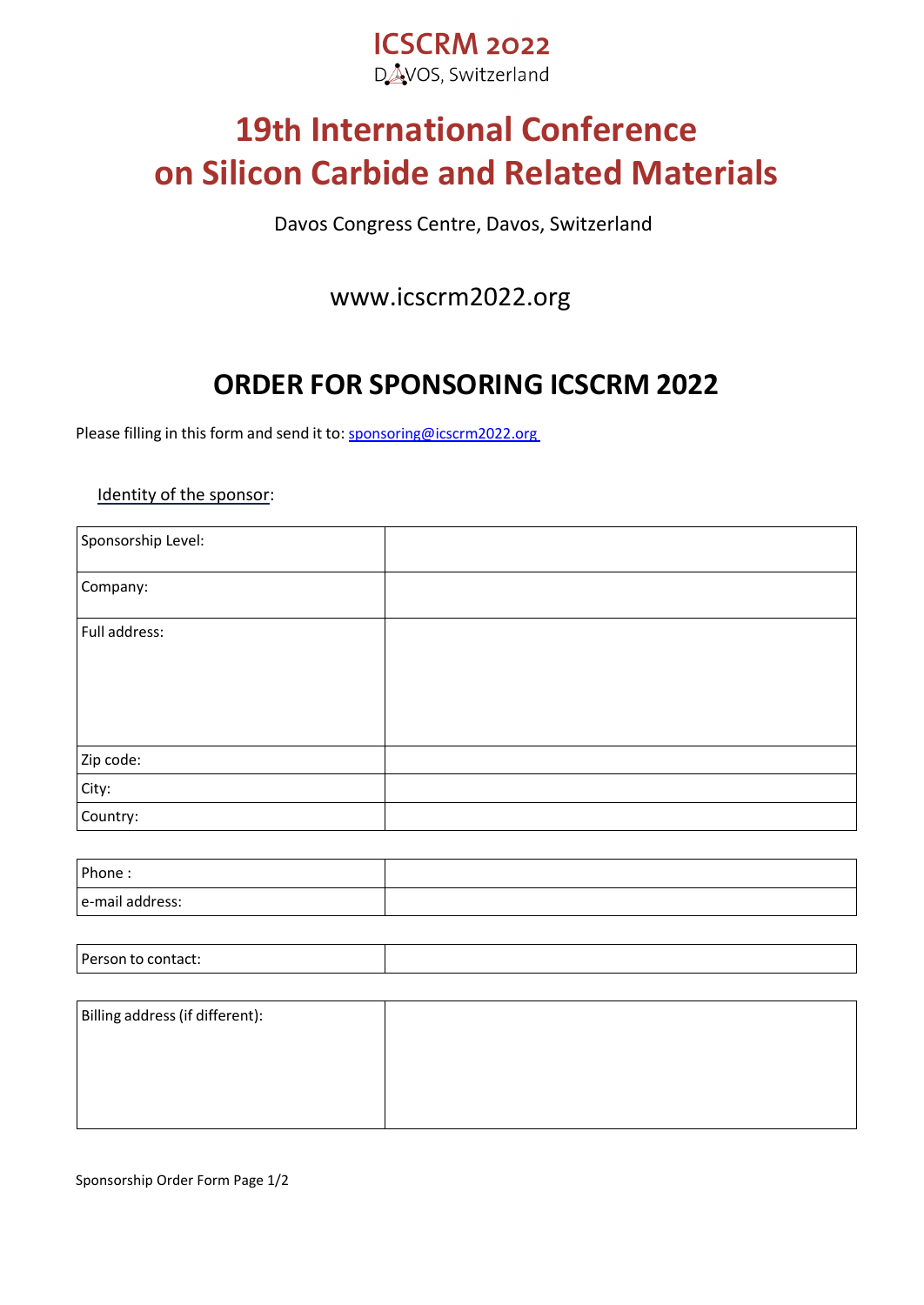## **ICSCRM 2022** DAVOS, Switzerland

# **19th International Conference on Silicon Carbide and Related Materials**

Davos Congress Centre, Davos, Switzerland

## www.icscrm2022.org

## **ORDER FOR SPONSORING ICSCRM 2022**

Please filling in this form and send it to: sponsoring@icscrm2022.org

#### Identity of the sponsor:

| Sponsorship Level: |  |
|--------------------|--|
| Company:           |  |
| Full address:      |  |
| Zip code:          |  |
| City:              |  |
| Country:           |  |

| Phone:          |  |
|-----------------|--|
| e-mail address: |  |

| Billing address (if different): |  |
|---------------------------------|--|
|                                 |  |
|                                 |  |
|                                 |  |

Sponsorship Order Form Page 1/2